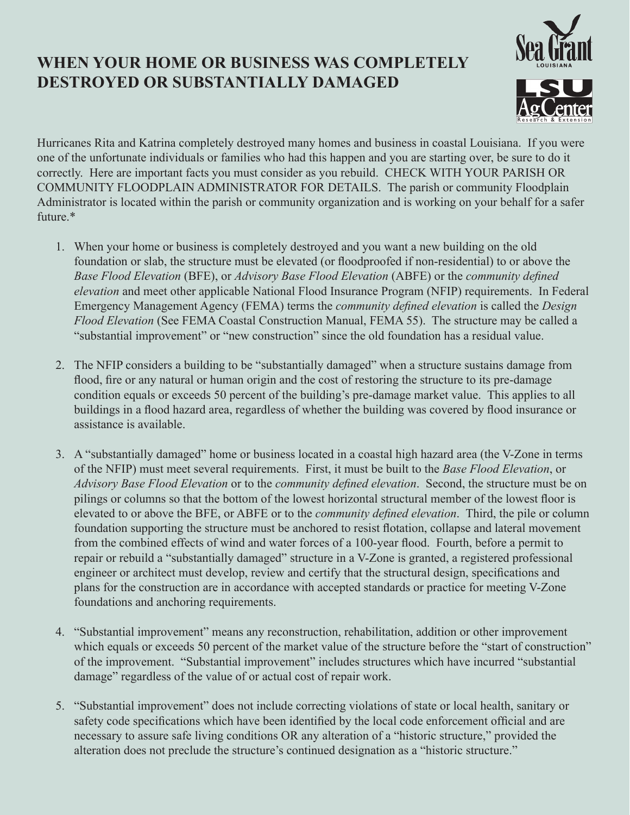## **WHEN YOUR HOME OR BUSINESS WAS COMPLETELY DESTROYED OR SUBSTANTIALLY DAMAGED**



Hurricanes Rita and Katrina completely destroyed many homes and business in coastal Louisiana. If you were one of the unfortunate individuals or families who had this happen and you are starting over, be sure to do it correctly. Here are important facts you must consider as you rebuild. CHECK WITH YOUR PARISH OR COMMUNITY FLOODPLAIN ADMINISTRATOR FOR DETAILS. The parish or community Floodplain Administrator is located within the parish or community organization and is working on your behalf for a safer future.\*

- 1. When your home or business is completely destroyed and you want a new building on the old foundation or slab, the structure must be elevated (or floodproofed if non-residential) to or above the *Base Flood Elevation* (BFE), or *Advisory Base Flood Elevation* (ABFE) or the *community defined elevation* and meet other applicable National Flood Insurance Program (NFIP) requirements. In Federal Emergency Management Agency (FEMA) terms the *community defined elevation* is called the *Design Flood Elevation* (See FEMA Coastal Construction Manual, FEMA 55). The structure may be called a "substantial improvement" or "new construction" since the old foundation has a residual value.
- 2. The NFIP considers a building to be "substantially damaged" when a structure sustains damage from flood, fire or any natural or human origin and the cost of restoring the structure to its pre-damage condition equals or exceeds 50 percent of the building's pre-damage market value. This applies to all buildings in a flood hazard area, regardless of whether the building was covered by flood insurance or assistance is available.
- 3. A "substantially damaged" home or business located in a coastal high hazard area (the V-Zone in terms of the NFIP) must meet several requirements. First, it must be built to the *Base Flood Elevation*, or *Advisory Base Flood Elevation* or to the *community defined elevation*. Second, the structure must be on pilings or columns so that the bottom of the lowest horizontal structural member of the lowest floor is elevated to or above the BFE, or ABFE or to the *community defined elevation*. Third, the pile or column foundation supporting the structure must be anchored to resist flotation, collapse and lateral movement from the combined effects of wind and water forces of a 100-year flood. Fourth, before a permit to repair or rebuild a "substantially damaged" structure in a V-Zone is granted, a registered professional engineer or architect must develop, review and certify that the structural design, specifications and plans for the construction are in accordance with accepted standards or practice for meeting V-Zone foundations and anchoring requirements.
- 4. "Substantial improvement" means any reconstruction, rehabilitation, addition or other improvement which equals or exceeds 50 percent of the market value of the structure before the "start of construction" of the improvement. "Substantial improvement" includes structures which have incurred "substantial damage" regardless of the value of or actual cost of repair work.
- 5. "Substantial improvement" does not include correcting violations of state or local health, sanitary or safety code specifications which have been identified by the local code enforcement official and are necessary to assure safe living conditions OR any alteration of a "historic structure," provided the alteration does not preclude the structure's continued designation as a "historic structure."